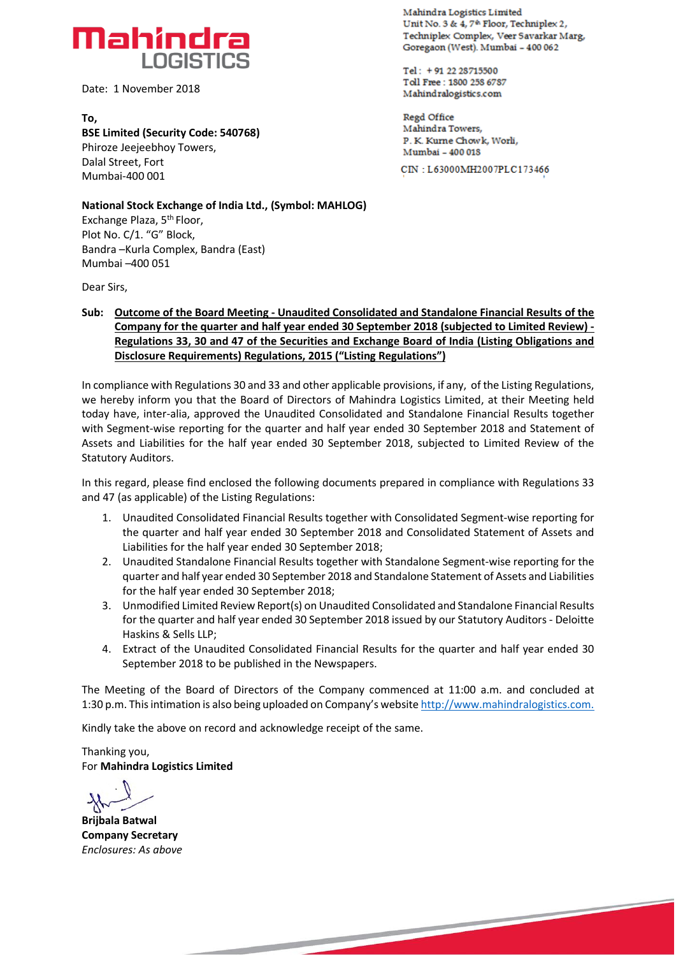

Date: 1 November 2018

**To, BSE Limited (Security Code: 540768)** Phiroze Jeejeebhoy Towers, Dalal Street, Fort Mumbai-400 001

**Mahindra Logistics Limited**  Unit No. 3 & 4, 7<sup>th</sup> Floor, Techniplex 2, **Technipicac Comdex, Veer 5 avarkar Marg,**  Goregaon (West), Mumbai - 400 062

**Tel: V1 22 23715500 Td1 Free: 1800 238 6737 Mahindralogistics.com** 

**Regd** *Office*  **Mandridra Towers, F. K Kurrie Chow k, Mumbai - 400 015** CIN : **L63000MH200 7PLC1 73 46,6**

**National Stock Exchange of India Ltd., (Symbol: MAHLOG)** Exchange Plaza, 5th Floor, Plot No. C/1. "G" Block, Bandra –Kurla Complex, Bandra (East)

Dear Sirs,

Mumbai –400 051

**Sub: Outcome of the Board Meeting - Unaudited Consolidated and Standalone Financial Results of the Company for the quarter and half year ended 30 September 2018 (subjected to Limited Review) - Regulations 33, 30 and 47 of the Securities and Exchange Board of India (Listing Obligations and Disclosure Requirements) Regulations, 2015 ("Listing Regulations")**

In compliance with Regulations 30 and 33 and other applicable provisions, if any, of the Listing Regulations, we hereby inform you that the Board of Directors of Mahindra Logistics Limited, at their Meeting held today have, inter-alia, approved the Unaudited Consolidated and Standalone Financial Results together with Segment-wise reporting for the quarter and half year ended 30 September 2018 and Statement of Assets and Liabilities for the half year ended 30 September 2018, subjected to Limited Review of the Statutory Auditors.

In this regard, please find enclosed the following documents prepared in compliance with Regulations 33 and 47 (as applicable) of the Listing Regulations:

- 1. Unaudited Consolidated Financial Results together with Consolidated Segment-wise reporting for the quarter and half year ended 30 September 2018 and Consolidated Statement of Assets and Liabilities for the half year ended 30 September 2018;
- 2. Unaudited Standalone Financial Results together with Standalone Segment-wise reporting for the quarter and half year ended 30 September 2018 and Standalone Statement of Assets and Liabilities for the half year ended 30 September 2018;
- 3. Unmodified Limited Review Report(s) on Unaudited Consolidated and Standalone Financial Results for the quarter and half year ended 30 September 2018 issued by our Statutory Auditors - Deloitte Haskins & Sells LLP;
- 4. Extract of the Unaudited Consolidated Financial Results for the quarter and half year ended 30 September 2018 to be published in the Newspapers.

The Meeting of the Board of Directors of the Company commenced at 11:00 a.m. and concluded at 1:30 p.m. This intimation is also being uploaded on Company's website [http://www.mahindralogistics.com.](http://www.mahindralogistics.com/)

Kindly take the above on record and acknowledge receipt of the same.

Thanking you, For **Mahindra Logistics Limited**

**Brijbala Batwal Company Secretary** *Enclosures: As above*